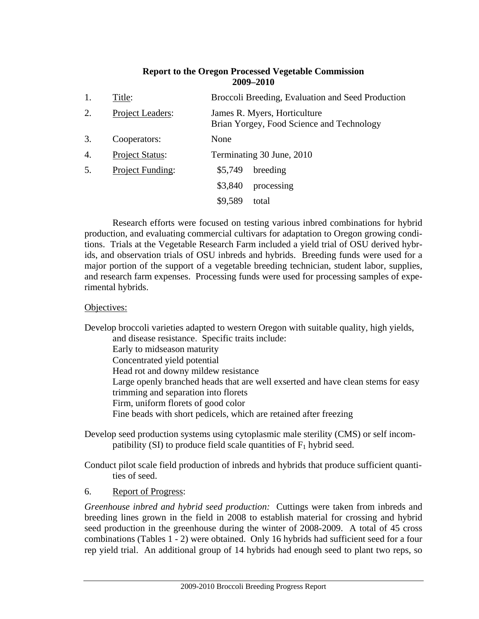### **Report to the Oregon Processed Vegetable Commission 2009–2010**

| 1. | Title:                  |         | Broccoli Breeding, Evaluation and Seed Production                         |
|----|-------------------------|---------|---------------------------------------------------------------------------|
| 2. | <b>Project Leaders:</b> |         | James R. Myers, Horticulture<br>Brian Yorgey, Food Science and Technology |
| 3. | Cooperators:            | None    |                                                                           |
| 4. | <b>Project Status:</b>  |         | Terminating 30 June, 2010                                                 |
| 5. | Project Funding:        | \$5,749 | breeding                                                                  |
|    |                         | \$3,840 | processing                                                                |
|    |                         | \$9,589 | total                                                                     |

Research efforts were focused on testing various inbred combinations for hybrid production, and evaluating commercial cultivars for adaptation to Oregon growing conditions. Trials at the Vegetable Research Farm included a yield trial of OSU derived hybrids, and observation trials of OSU inbreds and hybrids. Breeding funds were used for a major portion of the support of a vegetable breeding technician, student labor, supplies, and research farm expenses. Processing funds were used for processing samples of experimental hybrids.

### Objectives:

Develop broccoli varieties adapted to western Oregon with suitable quality, high yields, and disease resistance. Specific traits include: Early to midseason maturity Concentrated yield potential Head rot and downy mildew resistance Large openly branched heads that are well exserted and have clean stems for easy trimming and separation into florets Firm, uniform florets of good color Fine beads with short pedicels, which are retained after freezing

Develop seed production systems using cytoplasmic male sterility (CMS) or self incompatibility (SI) to produce field scale quantities of  $F_1$  hybrid seed.

Conduct pilot scale field production of inbreds and hybrids that produce sufficient quantities of seed.

#### 6. Report of Progress:

*Greenhouse inbred and hybrid seed production:* Cuttings were taken from inbreds and breeding lines grown in the field in 2008 to establish material for crossing and hybrid seed production in the greenhouse during the winter of 2008-2009. A total of 45 cross combinations (Tables 1 - 2) were obtained. Only 16 hybrids had sufficient seed for a four rep yield trial. An additional group of 14 hybrids had enough seed to plant two reps, so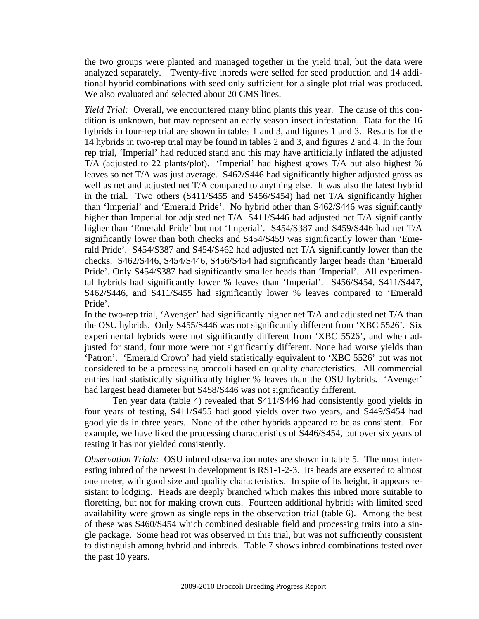the two groups were planted and managed together in the yield trial, but the data were analyzed separately. Twenty-five inbreds were selfed for seed production and 14 additional hybrid combinations with seed only sufficient for a single plot trial was produced. We also evaluated and selected about 20 CMS lines.

*Yield Trial:* Overall, we encountered many blind plants this year. The cause of this condition is unknown, but may represent an early season insect infestation. Data for the 16 hybrids in four-rep trial are shown in tables 1 and 3, and figures 1 and 3. Results for the 14 hybrids in two-rep trial may be found in tables 2 and 3, and figures 2 and 4. In the four rep trial, 'Imperial' had reduced stand and this may have artificially inflated the adjusted T/A (adjusted to 22 plants/plot). 'Imperial' had highest grows T/A but also highest % leaves so net T/A was just average. S462/S446 had significantly higher adjusted gross as well as net and adjusted net T/A compared to anything else. It was also the latest hybrid in the trial. Two others (S411/S455 and S456/S454) had net T/A significantly higher than 'Imperial' and 'Emerald Pride'. No hybrid other than S462/S446 was significantly higher than Imperial for adjusted net T/A. S411/S446 had adjusted net T/A significantly higher than 'Emerald Pride' but not 'Imperial'. S454/S387 and S459/S446 had net T/A significantly lower than both checks and S454/S459 was significantly lower than 'Emerald Pride'. S454/S387 and S454/S462 had adjusted net T/A significantly lower than the checks. S462/S446, S454/S446, S456/S454 had significantly larger heads than 'Emerald Pride'. Only S454/S387 had significantly smaller heads than 'Imperial'. All experimental hybrids had significantly lower % leaves than 'Imperial'. S456/S454, S411/S447, S462/S446, and S411/S455 had significantly lower % leaves compared to 'Emerald Pride'.

In the two-rep trial, 'Avenger' had significantly higher net T/A and adjusted net T/A than the OSU hybrids. Only S455/S446 was not significantly different from 'XBC 5526'. Six experimental hybrids were not significantly different from 'XBC 5526', and when adjusted for stand, four more were not significantly different. None had worse yields than 'Patron'. 'Emerald Crown' had yield statistically equivalent to 'XBC 5526' but was not considered to be a processing broccoli based on quality characteristics. All commercial entries had statistically significantly higher % leaves than the OSU hybrids. 'Avenger' had largest head diameter but S458/S446 was not significantly different.

 Ten year data (table 4) revealed that S411/S446 had consistently good yields in four years of testing, S411/S455 had good yields over two years, and S449/S454 had good yields in three years. None of the other hybrids appeared to be as consistent. For example, we have liked the processing characteristics of S446/S454, but over six years of testing it has not yielded consistently.

*Observation Trials:* OSU inbred observation notes are shown in table 5. The most interesting inbred of the newest in development is RS1-1-2-3. Its heads are exserted to almost one meter, with good size and quality characteristics. In spite of its height, it appears resistant to lodging. Heads are deeply branched which makes this inbred more suitable to floretting, but not for making crown cuts. Fourteen additional hybrids with limited seed availability were grown as single reps in the observation trial (table 6). Among the best of these was S460/S454 which combined desirable field and processing traits into a single package. Some head rot was observed in this trial, but was not sufficiently consistent to distinguish among hybrid and inbreds. Table 7 shows inbred combinations tested over the past 10 years.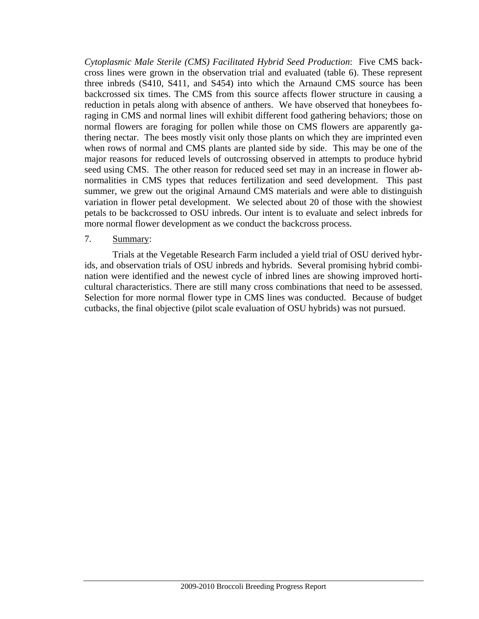*Cytoplasmic Male Sterile (CMS) Facilitated Hybrid Seed Production*: Five CMS backcross lines were grown in the observation trial and evaluated (table 6). These represent three inbreds (S410, S411, and S454) into which the Arnaund CMS source has been backcrossed six times. The CMS from this source affects flower structure in causing a reduction in petals along with absence of anthers. We have observed that honeybees foraging in CMS and normal lines will exhibit different food gathering behaviors; those on normal flowers are foraging for pollen while those on CMS flowers are apparently gathering nectar. The bees mostly visit only those plants on which they are imprinted even when rows of normal and CMS plants are planted side by side. This may be one of the major reasons for reduced levels of outcrossing observed in attempts to produce hybrid seed using CMS. The other reason for reduced seed set may in an increase in flower abnormalities in CMS types that reduces fertilization and seed development. This past summer, we grew out the original Arnaund CMS materials and were able to distinguish variation in flower petal development. We selected about 20 of those with the showiest petals to be backcrossed to OSU inbreds. Our intent is to evaluate and select inbreds for more normal flower development as we conduct the backcross process.

#### 7. Summary:

Trials at the Vegetable Research Farm included a yield trial of OSU derived hybrids, and observation trials of OSU inbreds and hybrids. Several promising hybrid combination were identified and the newest cycle of inbred lines are showing improved horticultural characteristics. There are still many cross combinations that need to be assessed. Selection for more normal flower type in CMS lines was conducted. Because of budget cutbacks, the final objective (pilot scale evaluation of OSU hybrids) was not pursued.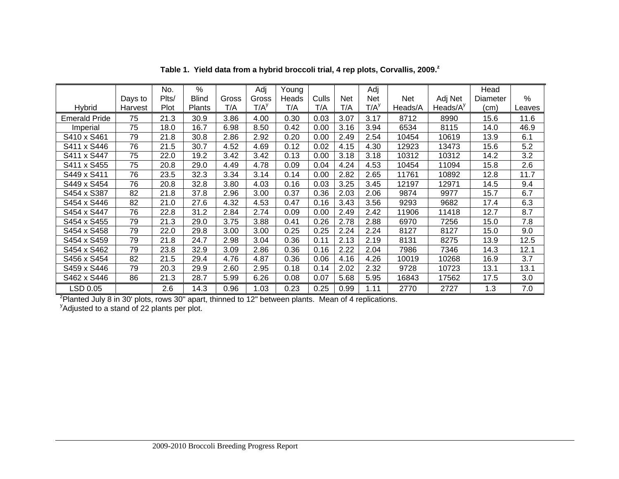|                                                                                                                  |         | No.   | $\%$         |       | Adj              | Young |       |      | Adj              |         |             | Head     |        |
|------------------------------------------------------------------------------------------------------------------|---------|-------|--------------|-------|------------------|-------|-------|------|------------------|---------|-------------|----------|--------|
|                                                                                                                  | Days to | Plts/ | <b>Blind</b> | Gross | Gross            | Heads | Culls | Net  | Net              | Net     | Adj Net     | Diameter | %      |
| <b>Hybrid</b>                                                                                                    | Harvest | Plot  | Plants       | T/A   | T/A <sup>y</sup> | T/A   | T/A   | T/A  | T/A <sup>y</sup> | Heads/A | Heads/ $Ay$ | (cm)     | Leaves |
| <b>Emerald Pride</b>                                                                                             | 75      | 21.3  | 30.9         | 3.86  | 4.00             | 0.30  | 0.03  | 3.07 | 3.17             | 8712    | 8990        | 15.6     | 11.6   |
| Imperial                                                                                                         | 75      | 18.0  | 16.7         | 6.98  | 8.50             | 0.42  | 0.00  | 3.16 | 3.94             | 6534    | 8115        | 14.0     | 46.9   |
| S410 x S461                                                                                                      | 79      | 21.8  | 30.8         | 2.86  | 2.92             | 0.20  | 0.00  | 2.49 | 2.54             | 10454   | 10619       | 13.9     | 6.1    |
| S411 x S446                                                                                                      | 76      | 21.5  | 30.7         | 4.52  | 4.69             | 0.12  | 0.02  | 4.15 | 4.30             | 12923   | 13473       | 15.6     | 5.2    |
| S411 x S447                                                                                                      | 75      | 22.0  | 19.2         | 3.42  | 3.42             | 0.13  | 0.00  | 3.18 | 3.18             | 10312   | 10312       | 14.2     | 3.2    |
| S411 x S455                                                                                                      | 75      | 20.8  | 29.0         | 4.49  | 4.78             | 0.09  | 0.04  | 4.24 | 4.53             | 10454   | 11094       | 15.8     | 2.6    |
| S449 x S411                                                                                                      | 76      | 23.5  | 32.3         | 3.34  | 3.14             | 0.14  | 0.00  | 2.82 | 2.65             | 11761   | 10892       | 12.8     | 11.7   |
| S449 x S454                                                                                                      | 76      | 20.8  | 32.8         | 3.80  | 4.03             | 0.16  | 0.03  | 3.25 | 3.45             | 12197   | 12971       | 14.5     | 9.4    |
| S454 x S387                                                                                                      | 82      | 21.8  | 37.8         | 2.96  | 3.00             | 0.37  | 0.36  | 2.03 | 2.06             | 9874    | 9977        | 15.7     | 6.7    |
| S454 x S446                                                                                                      | 82      | 21.0  | 27.6         | 4.32  | 4.53             | 0.47  | 0.16  | 3.43 | 3.56             | 9293    | 9682        | 17.4     | 6.3    |
| S454 x S447                                                                                                      | 76      | 22.8  | 31.2         | 2.84  | 2.74             | 0.09  | 0.00  | 2.49 | 2.42             | 11906   | 11418       | 12.7     | 8.7    |
| S454 x S455                                                                                                      | 79      | 21.3  | 29.0         | 3.75  | 3.88             | 0.41  | 0.26  | 2.78 | 2.88             | 6970    | 7256        | 15.0     | 7.8    |
| S454 x S458                                                                                                      | 79      | 22.0  | 29.8         | 3.00  | 3.00             | 0.25  | 0.25  | 2.24 | 2.24             | 8127    | 8127        | 15.0     | 9.0    |
| S454 x S459                                                                                                      | 79      | 21.8  | 24.7         | 2.98  | 3.04             | 0.36  | 0.11  | 2.13 | 2.19             | 8131    | 8275        | 13.9     | 12.5   |
| S454 x S462                                                                                                      | 79      | 23.8  | 32.9         | 3.09  | 2.86             | 0.36  | 0.16  | 2.22 | 2.04             | 7986    | 7346        | 14.3     | 12.1   |
| S456 x S454                                                                                                      | 82      | 21.5  | 29.4         | 4.76  | 4.87             | 0.36  | 0.06  | 4.16 | 4.26             | 10019   | 10268       | 16.9     | 3.7    |
| S459 x S446                                                                                                      | 79      | 20.3  | 29.9         | 2.60  | 2.95             | 0.18  | 0.14  | 2.02 | 2.32             | 9728    | 10723       | 13.1     | 13.1   |
| S462 x S446                                                                                                      | 86      | 21.3  | 28.7         | 5.99  | 6.26             | 0.08  | 0.07  | 5.68 | 5.95             | 16843   | 17562       | 17.5     | 3.0    |
| LSD 0.05                                                                                                         |         | 2.6   | 14.3         | 0.96  | 1.03             | 0.23  | 0.25  | 0.99 | 1.11             | 2770    | 2727        | 1.3      | 7.0    |
| <sup>z</sup> Planted July 8 in 30' plots, rows 30" apart, thinned to 12" between plants. Mean of 4 replications. |         |       |              |       |                  |       |       |      |                  |         |             |          |        |

**Table 1. Yield data from a hybrid broccoli trial, 4 rep plots, Corvallis, 2009.<sup>z</sup>**

<sup>y</sup>Adjusted to a stand of 22 plants per plot.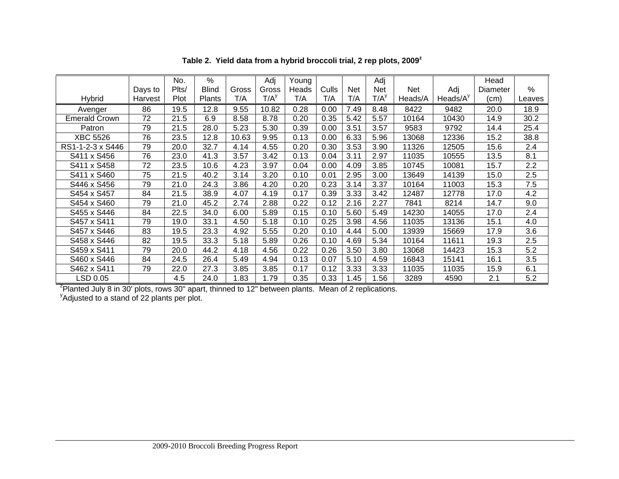|                                                                                                              |         | No.   | %            |       | Adj     | Young |       |      | Adj              |         |              | Head     |        |
|--------------------------------------------------------------------------------------------------------------|---------|-------|--------------|-------|---------|-------|-------|------|------------------|---------|--------------|----------|--------|
|                                                                                                              | Days to | Plts/ | <b>Blind</b> | Gross | Gross   | Heads | Culls | Net  | Net              | Net     | Adj          | Diameter | %      |
| <b>Hybrid</b>                                                                                                | Harvest | Plot  | Plants       | T/A   | $T/A^y$ | T/A   | T/A   | T/A  | T/A <sup>y</sup> | Heads/A | Heads/ $A^y$ | (cm)     | Leaves |
| Avenger                                                                                                      | 86      | 19.5  | 12.8         | 9.55  | 10.82   | 0.28  | 0.00  | 7.49 | 8.48             | 8422    | 9482         | 20.0     | 18.9   |
| <b>Emerald Crown</b>                                                                                         | 72      | 21.5  | 6.9          | 8.58  | 8.78    | 0.20  | 0.35  | 5.42 | 5.57             | 10164   | 10430        | 14.9     | 30.2   |
| Patron                                                                                                       | 79      | 21.5  | 28.0         | 5.23  | 5.30    | 0.39  | 0.00  | 3.51 | 3.57             | 9583    | 9792         | 14.4     | 25.4   |
| XBC 5526                                                                                                     | 76      | 23.5  | 12.8         | 10.63 | 9.95    | 0.13  | 0.00  | 6.33 | 5.96             | 13068   | 12336        | 15.2     | 38.8   |
| RS1-1-2-3 x S446                                                                                             | 79      | 20.0  | 32.7         | 4.14  | 4.55    | 0.20  | 0.30  | 3.53 | 3.90             | 11326   | 12505        | 15.6     | 2.4    |
| S411 x S456                                                                                                  | 76      | 23.0  | 41.3         | 3.57  | 3.42    | 0.13  | 0.04  | 3.11 | 2.97             | 11035   | 10555        | 13.5     | 8.1    |
| S411 x S458                                                                                                  | 72      | 23.5  | 10.6         | 4.23  | 3.97    | 0.04  | 0.00  | 4.09 | 3.85             | 10745   | 10081        | 15.7     | 2.2    |
| S411 x S460                                                                                                  | 75      | 21.5  | 40.2         | 3.14  | 3.20    | 0.10  | 0.01  | 2.95 | 3.00             | 13649   | 14139        | 15.0     | 2.5    |
| S446 x S456                                                                                                  | 79      | 21.0  | 24.3         | 3.86  | 4.20    | 0.20  | 0.23  | 3.14 | 3.37             | 10164   | 11003        | 15.3     | 7.5    |
| S454 x S457                                                                                                  | 84      | 21.5  | 38.9         | 4.07  | 4.19    | 0.17  | 0.39  | 3.33 | 3.42             | 12487   | 12778        | 17.0     | 4.2    |
| S454 x S460                                                                                                  | 79      | 21.0  | 45.2         | 2.74  | 2.88    | 0.22  | 0.12  | 2.16 | 2.27             | 7841    | 8214         | 14.7     | 9.0    |
| S455 x S446                                                                                                  | 84      | 22.5  | 34.0         | 6.00  | 5.89    | 0.15  | 0.10  | 5.60 | 5.49             | 14230   | 14055        | 17.0     | 2.4    |
| S457 x S411                                                                                                  | 79      | 19.0  | 33.1         | 4.50  | 5.18    | 0.10  | 0.25  | 3.98 | 4.56             | 11035   | 13136        | 15.1     | 4.0    |
| S457 x S446                                                                                                  | 83      | 19.5  | 23.3         | 4.92  | 5.55    | 0.20  | 0.10  | 4.44 | 5.00             | 13939   | 15669        | 17.9     | 3.6    |
| S458 x S446                                                                                                  | 82      | 19.5  | 33.3         | 5.18  | 5.89    | 0.26  | 0.10  | 4.69 | 5.34             | 10164   | 11611        | 19.3     | 2.5    |
| S459 x S411                                                                                                  | 79      | 20.0  | 44.2         | 4.18  | 4.56    | 0.22  | 0.26  | 3.50 | 3.80             | 13068   | 14423        | 15.3     | 5.2    |
| S460 x S446                                                                                                  | 84      | 24.5  | 26.4         | 5.49  | 4.94    | 0.13  | 0.07  | 5.10 | 4.59             | 16843   | 15141        | 16.1     | 3.5    |
| S462 x S411                                                                                                  | 79      | 22.0  | 27.3         | 3.85  | 3.85    | 0.17  | 0.12  | 3.33 | 3.33             | 11035   | 11035        | 15.9     | 6.1    |
| LSD 0.05                                                                                                     |         | 4.5   | 24.0         | 1.83  | 1.79    | 0.35  | 0.33  | 1.45 | 1.56             | 3289    | 4590         | 2.1      | 5.2    |
| ${}^{7}$ Planted July 8 in 30' plots, rows 30" apart, thinned to 12" between plants. Mean of 2 replications. |         |       |              |       |         |       |       |      |                  |         |              |          |        |

**Table 2. Yield data from a hybrid broccoli trial, 2 rep plots, 2009<sup>z</sup>**

<sup>y</sup>Adjusted to a stand of 22 plants per plot.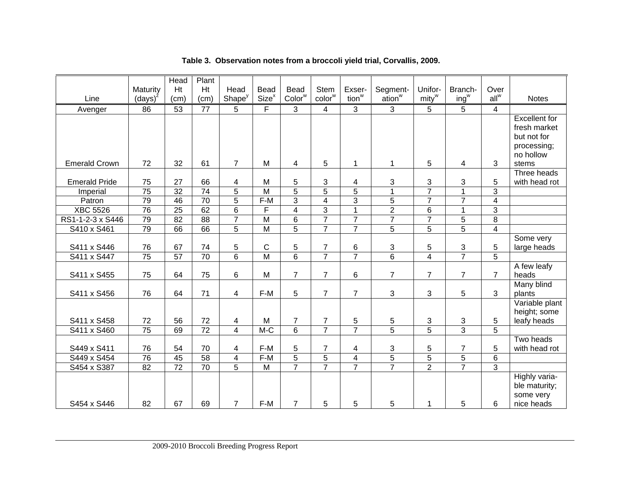|                      |                 | <b>Head</b>     | Plant           |                         |                   |                    |                |                   |                       |                   |                |                 |                             |
|----------------------|-----------------|-----------------|-----------------|-------------------------|-------------------|--------------------|----------------|-------------------|-----------------------|-------------------|----------------|-----------------|-----------------------------|
|                      | Maturity        | Ht              | Ht              | Head                    | <b>Bead</b>       | Bead               | <b>Stem</b>    | Exser-            | Segment-              | Unifor-           | Branch-        | Over            |                             |
| Line                 | $(days)^{z}$    | (cm)            | (cm)            | Shape <sup>y</sup>      | Size <sup>x</sup> | Color <sup>w</sup> | $color^w$      | tion <sup>w</sup> | $a$ tion <sup>w</sup> | mity <sup>w</sup> | $ing^w$        | $all^w$         | <b>Notes</b>                |
| Avenger              | 86              | 53              | 77              | 5                       | F                 | 3                  | $\overline{4}$ | 3                 | 3                     | 5                 | 5              | $\overline{4}$  |                             |
|                      |                 |                 |                 |                         |                   |                    |                |                   |                       |                   |                |                 | <b>Excellent</b> for        |
|                      |                 |                 |                 |                         |                   |                    |                |                   |                       |                   |                |                 | fresh market                |
|                      |                 |                 |                 |                         |                   |                    |                |                   |                       |                   |                |                 | but not for                 |
|                      |                 |                 |                 |                         |                   |                    |                |                   |                       |                   |                |                 | processing;                 |
| <b>Emerald Crown</b> | 72              | 32              | 61              | $\overline{7}$          | M                 | 4                  | 5              | 1                 | 1                     | 5                 | 4              | 3               | no hollow<br>stems          |
|                      |                 |                 |                 |                         |                   |                    |                |                   |                       |                   |                |                 | Three heads                 |
| <b>Emerald Pride</b> | 75              | 27              | 66              | 4                       | M                 | 5                  | 3              | 4                 | 3                     | 3                 | 3              | 5               | with head rot               |
| Imperial             | $\overline{75}$ | $\overline{32}$ | $\overline{74}$ | $\overline{5}$          | $\overline{M}$    | $\overline{5}$     | $\overline{5}$ | $\overline{5}$    | $\mathbf{1}$          | $\overline{7}$    | 1              | $\overline{3}$  |                             |
| Patron               | 79              | 46              | $\overline{70}$ | $\overline{5}$          | $F-M$             | $\overline{3}$     | $\overline{4}$ | $\overline{3}$    | $\overline{5}$        | $\overline{7}$    | $\overline{7}$ | $\overline{4}$  |                             |
| <b>XBC 5526</b>      | 76              | $\overline{25}$ | 62              | $\overline{6}$          | F                 | $\overline{4}$     | $\overline{3}$ | 1                 | $\overline{2}$        | 6                 | 1              | $\overline{3}$  |                             |
| RS1-1-2-3 x S446     | 79              | 82              | 88              | $\overline{7}$          | $\overline{M}$    | $\overline{6}$     | $\overline{7}$ | $\overline{7}$    | $\overline{7}$        | $\overline{7}$    | $\overline{5}$ | $\overline{8}$  |                             |
| S410 x S461          | 79              | 66              | 66              | $\overline{5}$          | $\overline{M}$    | $\overline{5}$     | $\overline{7}$ | $\overline{7}$    | $\overline{5}$        | $\overline{5}$    | $\overline{5}$ | $\overline{4}$  |                             |
|                      |                 |                 |                 |                         |                   |                    |                |                   |                       |                   |                |                 | Some very                   |
| S411 x S446          | 76              | 67              | 74              | 5                       | $\mathbf C$       | 5                  | $\overline{7}$ | 6                 | 3                     | 5                 | 3              | 5               | large heads                 |
| S411 x S447          | 75              | 57              | $\overline{70}$ | $\overline{6}$          | $\overline{M}$    | $\overline{6}$     | $\overline{7}$ | $\overline{7}$    | $\overline{6}$        | $\overline{4}$    | $\overline{7}$ | $\overline{5}$  |                             |
|                      |                 |                 |                 |                         |                   |                    |                |                   |                       |                   |                |                 | A few leafy                 |
| S411 x S455          | 75              | 64              | 75              | 6                       | M                 | $\overline{7}$     | $\overline{7}$ | 6                 | $\overline{7}$        | $\overline{7}$    | $\overline{7}$ | $\overline{7}$  | heads                       |
|                      |                 |                 |                 |                         |                   |                    |                |                   |                       |                   |                |                 | Many blind                  |
| S411 x S456          | 76              | 64              | 71              | 4                       | $F-M$             | 5                  | $\overline{7}$ | $\overline{7}$    | 3                     | 3                 | 5              | 3               | plants                      |
|                      |                 |                 |                 |                         |                   |                    |                |                   |                       |                   |                |                 | Variable plant              |
| S411 x S458          | 72              | 56              | 72              | $\overline{4}$          | M                 | 7                  | $\overline{7}$ | 5                 | 5                     | 3                 | 3              | 5               | height; some<br>leafy heads |
| S411 x S460          | $\overline{75}$ | 69              | $\overline{72}$ | $\overline{4}$          | $M-C$             | $\overline{6}$     | $\overline{7}$ | $\overline{7}$    | $\overline{5}$        | $\overline{5}$    | $\overline{3}$ | $\overline{5}$  |                             |
|                      |                 |                 |                 |                         |                   |                    |                |                   |                       |                   |                |                 | Two heads                   |
| S449 x S411          | 76              | 54              | 70              | 4                       | F-M               | 5                  | $\overline{7}$ | 4                 | 3                     | 5                 | $\overline{7}$ | 5               | with head rot               |
| S449 x S454          | 76              | 45              | $\overline{58}$ | $\overline{\mathbf{4}}$ | $F-M$             | $\overline{5}$     | 5              | 4                 | $\overline{5}$        | $\overline{5}$    | $\overline{5}$ | $6\phantom{1}6$ |                             |
| S454 x S387          | $\overline{82}$ | $\overline{72}$ | $\overline{70}$ | $\overline{5}$          | M                 | $\overline{7}$     | $\overline{7}$ | $\overline{7}$    | $\overline{7}$        | $\overline{2}$    | $\overline{7}$ | $\overline{3}$  |                             |
|                      |                 |                 |                 |                         |                   |                    |                |                   |                       |                   |                |                 | Highly varia-               |
|                      |                 |                 |                 |                         |                   |                    |                |                   |                       |                   |                |                 | ble maturity;               |
|                      |                 |                 |                 |                         |                   |                    |                |                   |                       |                   |                |                 | some very                   |
| S454 x S446          | 82              | 67              | 69              | $\overline{7}$          | F-M               | $\overline{7}$     | 5              | 5                 | 5                     | 1                 | 5              | 6               | nice heads                  |

# **Table 3. Observation notes from a broccoli yield trial, Corvallis, 2009.**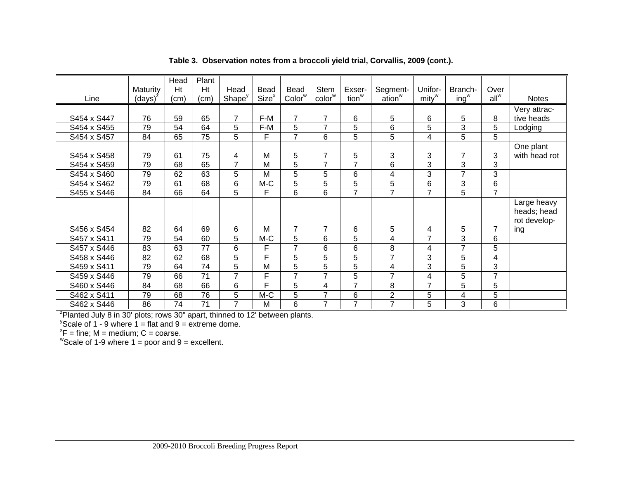|             |                 | Head | Plant           |                    |                   |                    |                |                   |                    |                   |                |                |               |
|-------------|-----------------|------|-----------------|--------------------|-------------------|--------------------|----------------|-------------------|--------------------|-------------------|----------------|----------------|---------------|
|             | Maturity        | Ht   | Ht              | Head               | Bead              | Bead               | Stem           | Exser-            | Segment-           | Unifor-           | Branch-        | Over           |               |
| Line        | $(days)^{2}$    | (cm) | (cm)            | Shape <sup>y</sup> | Size <sup>x</sup> | Color <sup>w</sup> | $color^w$      | tion <sup>w</sup> | ation <sup>w</sup> | mity <sup>w</sup> | $ing^w$        | $all^w$        | <b>Notes</b>  |
|             |                 |      |                 |                    |                   |                    |                |                   |                    |                   |                |                | Very attrac-  |
| S454 x S447 | 76              | 59   | 65              | $\overline{7}$     | F-M               | $\overline{7}$     | 7              | 6                 | 5                  | 6                 | 5              | 8              | tive heads    |
| S454 x S455 | 79              | 54   | 64              | 5                  | F-M               | 5                  | $\overline{7}$ | 5                 | 6                  | 5                 | 3              | 5              | Lodging       |
| S454 x S457 | 84              | 65   | 75              | 5                  | F.                | $\overline{7}$     | 6              | 5                 | 5                  | 4                 | 5              | 5              |               |
|             |                 |      |                 |                    |                   |                    |                |                   |                    |                   |                |                | One plant     |
| S454 x S458 | 79              | 61   | 75              | 4                  | M                 | 5                  | $\overline{7}$ | 5                 | 3                  | 3                 | 7              | 3              | with head rot |
| S454 x S459 | 79              | 68   | 65              | 7                  | M                 | 5                  | $\overline{7}$ | $\overline{7}$    | 6                  | 3                 | 3              | 3              |               |
| S454 x S460 | 79              | 62   | 63              | 5                  | M                 | 5                  | 5              | 6                 | 4                  | 3                 | 7              | 3              |               |
| S454 x S462 | $\overline{79}$ | 61   | 68              | 6                  | $M-C$             | 5                  | 5              | 5                 | 5                  | 6                 | 3              | 6              |               |
| S455 x S446 | 84              | 66   | 64              | $\overline{5}$     | F                 | 6                  | 6              | $\overline{7}$    | $\overline{7}$     | $\overline{7}$    | 5              | $\overline{7}$ |               |
|             |                 |      |                 |                    |                   |                    |                |                   |                    |                   |                |                | Large heavy   |
|             |                 |      |                 |                    |                   |                    |                |                   |                    |                   |                |                | heads; head   |
|             |                 |      |                 |                    |                   |                    |                |                   |                    |                   |                |                | rot develop-  |
| S456 x S454 | 82              | 64   | 69              | 6                  | м                 | $\overline{7}$     | $\overline{7}$ | 6                 | 5                  | 4                 | 5              | $\overline{7}$ | ing           |
| S457 x S411 | 79              | 54   | 60              | 5                  | M-C               | 5                  | 6              | 5                 | 4                  | $\overline{7}$    | 3              | 6              |               |
| S457 x S446 | 83              | 63   | 77              | 6                  | F                 | 7                  | 6              | 6                 | 8                  | 4                 | $\overline{7}$ | 5              |               |
| S458 x S446 | 82              | 62   | 68              | 5                  | F                 | 5                  | 5              | 5                 | $\overline{7}$     | 3                 | 5              | 4              |               |
| S459 x S411 | 79              | 64   | 74              | $\overline{5}$     | M                 | 5                  | 5              | $5\phantom{.0}$   | 4                  | 3                 | $\overline{5}$ | 3              |               |
| S459 x S446 | 79              | 66   | $\overline{71}$ | $\overline{7}$     | F                 | $\overline{ }$     | $\overline{7}$ | 5                 | $\overline{7}$     | 4                 | 5              | $\overline{7}$ |               |
| S460 x S446 | 84              | 68   | 66              | 6                  | F                 | 5                  | 4              | $\overline{7}$    | 8                  | $\overline{7}$    | 5              | 5              |               |
| S462 x S411 | 79              | 68   | 76              | 5                  | $M-C$             | 5                  | $\overline{7}$ | 6                 | $\overline{2}$     | 5                 | 4              | 5              |               |
| S462 x S446 | 86              | 74   | 71              | 7                  | М                 | 6                  | 7              | $\overline{7}$    | 7                  | 5                 | 3              | 6              |               |

**Table 3. Observation notes from a broccoli yield trial, Corvallis, 2009 (cont.).** 

<sup>2</sup>Planted July 8 in 30' plots; rows 30" apart, thinned to 12' between plants.

 $\mathrm{y}$ Scale of 1 - 9 where 1 = flat and 9 = extreme dome.

 ${}^{\text{x}}\mathsf{F}$  = fine; M = medium; C = coarse.

"Scale of 1-9 where  $1 =$  poor and  $9 =$  excellent.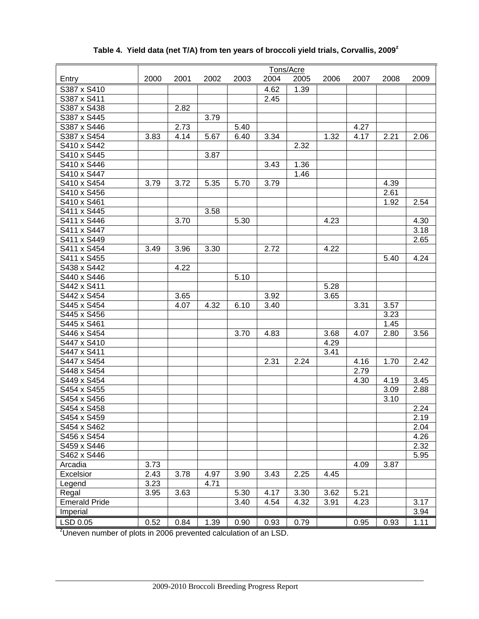|                                                                              |      |      |      |      |      | Tons/Acre |      |      |      |      |
|------------------------------------------------------------------------------|------|------|------|------|------|-----------|------|------|------|------|
| Entry                                                                        | 2000 | 2001 | 2002 | 2003 | 2004 | 2005      | 2006 | 2007 | 2008 | 2009 |
| S387 x S410                                                                  |      |      |      |      | 4.62 | 1.39      |      |      |      |      |
| S387 x S411                                                                  |      |      |      |      | 2.45 |           |      |      |      |      |
| S387 x S438                                                                  |      | 2.82 |      |      |      |           |      |      |      |      |
| S387 x S445                                                                  |      |      | 3.79 |      |      |           |      |      |      |      |
| S387 x S446                                                                  |      | 2.73 |      | 5.40 |      |           |      | 4.27 |      |      |
| S387 x S454                                                                  | 3.83 | 4.14 | 5.67 | 6.40 | 3.34 |           | 1.32 | 4.17 | 2.21 | 2.06 |
| S410 x S442                                                                  |      |      |      |      |      | 2.32      |      |      |      |      |
| S410 x S445                                                                  |      |      | 3.87 |      |      |           |      |      |      |      |
| S410 x S446                                                                  |      |      |      |      | 3.43 | 1.36      |      |      |      |      |
| S410 x S447                                                                  |      |      |      |      |      | 1.46      |      |      |      |      |
| S410 x S454                                                                  | 3.79 | 3.72 | 5.35 | 5.70 | 3.79 |           |      |      | 4.39 |      |
| S410 x S456                                                                  |      |      |      |      |      |           |      |      | 2.61 |      |
| S410 x S461                                                                  |      |      |      |      |      |           |      |      | 1.92 | 2.54 |
| S411 x S445                                                                  |      |      | 3.58 |      |      |           |      |      |      |      |
| S411 x S446                                                                  |      | 3.70 |      | 5.30 |      |           | 4.23 |      |      | 4.30 |
| S411 x S447                                                                  |      |      |      |      |      |           |      |      |      | 3.18 |
| S411 x S449                                                                  |      |      |      |      |      |           |      |      |      | 2.65 |
| S411 x S454                                                                  | 3.49 | 3.96 | 3.30 |      | 2.72 |           | 4.22 |      |      |      |
| S411 x S455                                                                  |      |      |      |      |      |           |      |      | 5.40 | 4.24 |
| S438 x S442                                                                  |      | 4.22 |      |      |      |           |      |      |      |      |
| S440 x S446                                                                  |      |      |      | 5.10 |      |           |      |      |      |      |
| S442 x S411                                                                  |      |      |      |      |      |           | 5.28 |      |      |      |
| S442 x S454                                                                  |      | 3.65 |      |      | 3.92 |           | 3.65 |      |      |      |
| S445 x S454                                                                  |      | 4.07 | 4.32 | 6.10 | 3.40 |           |      | 3.31 | 3.57 |      |
| S445 x S456                                                                  |      |      |      |      |      |           |      |      | 3.23 |      |
| S445 x S461                                                                  |      |      |      |      |      |           |      |      | 1.45 |      |
| S446 x S454                                                                  |      |      |      | 3.70 | 4.83 |           | 3.68 | 4.07 | 2.80 | 3.56 |
| S447 x S410                                                                  |      |      |      |      |      |           | 4.29 |      |      |      |
| S447 x S411                                                                  |      |      |      |      |      |           | 3.41 |      |      |      |
| S447 x S454                                                                  |      |      |      |      | 2.31 | 2.24      |      | 4.16 | 1.70 | 2.42 |
| S448 x S454                                                                  |      |      |      |      |      |           |      | 2.79 |      |      |
| S449 x S454                                                                  |      |      |      |      |      |           |      | 4.30 | 4.19 | 3.45 |
| S454 x S455                                                                  |      |      |      |      |      |           |      |      | 3.09 | 2.88 |
| S454 x S456                                                                  |      |      |      |      |      |           |      |      | 3.10 |      |
| S454 x S458                                                                  |      |      |      |      |      |           |      |      |      | 2.24 |
| S454 x S459                                                                  |      |      |      |      |      |           |      |      |      | 2.19 |
| S454 x S462                                                                  |      |      |      |      |      |           |      |      |      | 2.04 |
| S456 x S454                                                                  |      |      |      |      |      |           |      |      |      | 4.26 |
| S459 x S446                                                                  |      |      |      |      |      |           |      |      |      | 2.32 |
| S462 x S446                                                                  |      |      |      |      |      |           |      |      |      | 5.95 |
| Arcadia                                                                      | 3.73 |      |      |      |      |           |      | 4.09 | 3.87 |      |
| Excelsior                                                                    | 2.43 | 3.78 | 4.97 | 3.90 | 3.43 | 2.25      | 4.45 |      |      |      |
|                                                                              | 3.23 |      | 4.71 |      |      |           |      |      |      |      |
| Legend<br>Regal                                                              | 3.95 | 3.63 |      | 5.30 | 4.17 | 3.30      | 3.62 | 5.21 |      |      |
| <b>Emerald Pride</b>                                                         |      |      |      | 3.40 | 4.54 | 4.32      | 3.91 | 4.23 |      | 3.17 |
|                                                                              |      |      |      |      |      |           |      |      |      | 3.94 |
| Imperial                                                                     |      |      |      |      |      |           |      |      |      |      |
| LSD 0.05                                                                     | 0.52 | 0.84 | 1.39 | 0.90 | 0.93 | 0.79      |      | 0.95 | 0.93 | 1.11 |
| <sup>z</sup> Uneven number of plots in 2006 prevented calculation of an LSD. |      |      |      |      |      |           |      |      |      |      |

# **Table 4. Yield data (net T/A) from ten years of broccoli yield trials, Corvallis, 2009<sup>z</sup>**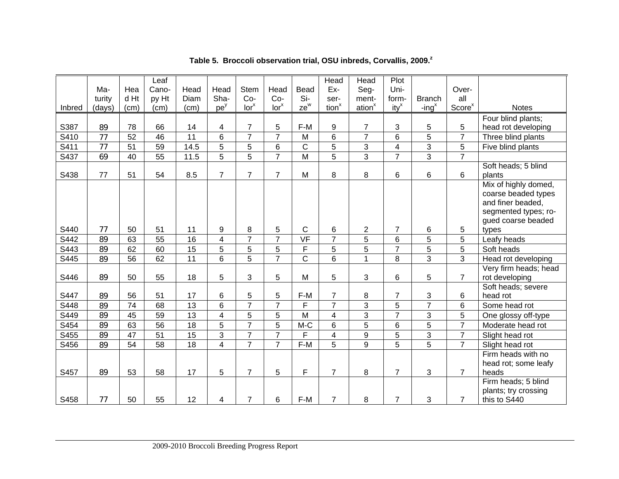|        |        |      | Leaf            |                 |                         |                  |                  |                          | Head              | Head               | Plot                    |                           |                    |                       |
|--------|--------|------|-----------------|-----------------|-------------------------|------------------|------------------|--------------------------|-------------------|--------------------|-------------------------|---------------------------|--------------------|-----------------------|
|        | Ma-    | Hea  | Cano-           | Head            | Head                    | <b>Stem</b>      | Head             | <b>Bead</b>              | Ex-               | Seg-               | Uni-                    |                           | Over-              |                       |
|        | turity | d Ht | py Ht           | Diam            | Sha-                    | $Co-$            | $Co-$            | Si-                      | ser-              | ment-              | form-                   | <b>Branch</b>             | all                |                       |
| Inbred | (days) | (cm) | (cm)            | (cm)            | pe <sup>y</sup>         | Ior <sup>x</sup> | Ior <sup>x</sup> | $ze^w$                   | tion <sup>x</sup> | ation <sup>x</sup> | $ity^x$                 | $-$ ing <sup>x</sup>      | Score <sup>x</sup> | <b>Notes</b>          |
|        |        |      |                 |                 |                         |                  |                  |                          |                   |                    |                         |                           |                    |                       |
|        |        | 78   | 66              |                 |                         | $\overline{7}$   |                  | F-M                      |                   | $\overline{7}$     | 3                       |                           | 5                  | Four blind plants;    |
| S387   | 89     |      |                 | 14              | 4                       |                  | 5                |                          | $\boldsymbol{9}$  |                    |                         | 5                         |                    | head rot developing   |
| S410   | 77     | 52   | 46              | 11              | 6                       | $\overline{7}$   | $\overline{7}$   | M                        | 6                 | $\overline{7}$     | 6                       | 5                         | $\overline{7}$     | Three blind plants    |
| S411   | 77     | 51   | $\overline{59}$ | 14.5            | $\overline{5}$          | $\overline{5}$   | $\,6$            | $\mathsf C$              | 5                 | 3                  | $\overline{\mathbf{4}}$ | $\overline{3}$            | 5                  | Five blind plants     |
| S437   | 69     | 40   | 55              | 11.5            | $\overline{5}$          | $\overline{5}$   | $\overline{7}$   | $\overline{M}$           | $\overline{5}$    | $\overline{3}$     | $\overline{7}$          | $\overline{3}$            | $\overline{7}$     |                       |
|        |        |      |                 |                 |                         |                  |                  |                          |                   |                    |                         |                           |                    | Soft heads; 5 blind   |
| S438   | 77     | 51   | 54              | 8.5             | $\overline{7}$          | $\overline{7}$   | $\overline{7}$   | M                        | 8                 | 8                  | 6                       | 6                         | 6                  | plants                |
|        |        |      |                 |                 |                         |                  |                  |                          |                   |                    |                         |                           |                    | Mix of highly domed,  |
|        |        |      |                 |                 |                         |                  |                  |                          |                   |                    |                         |                           |                    | coarse beaded types   |
|        |        |      |                 |                 |                         |                  |                  |                          |                   |                    |                         |                           |                    | and finer beaded,     |
|        |        |      |                 |                 |                         |                  |                  |                          |                   |                    |                         |                           |                    | segmented types; ro-  |
|        |        |      |                 |                 |                         |                  |                  |                          |                   |                    |                         |                           |                    | gued coarse beaded    |
| S440   | 77     | 50   | 51              | 11              | 9                       | 8                | 5                | $\mathsf C$              | 6                 | 2                  | $\overline{7}$          | 6                         | 5                  | types                 |
| S442   | 89     | 63   | 55              | 16              | 4                       | $\overline{7}$   | $\overline{7}$   | $\overline{\mathsf{VF}}$ | $\overline{7}$    | $\overline{5}$     | 6                       | 5                         | 5                  | Leafy heads           |
| S443   | 89     | 62   | 60              | 15              | 5                       | 5                | 5                | F                        | 5                 | 5                  | $\overline{7}$          | $\overline{5}$            | $\overline{5}$     | Soft heads            |
| S445   | 89     | 56   | 62              | $\overline{11}$ | $\overline{6}$          | $\overline{5}$   | $\overline{7}$   | $\overline{C}$           | $\overline{6}$    | $\mathbf{1}$       | 8                       | $\overline{3}$            | $\overline{3}$     | Head rot developing   |
|        |        |      |                 |                 |                         |                  |                  |                          |                   |                    |                         |                           |                    | Very firm heads; head |
| S446   | 89     | 50   | 55              | 18              | 5                       | 3                | 5                | M                        | 5                 | 3                  | 6                       | 5                         | $\overline{7}$     | rot developing        |
|        |        |      |                 |                 |                         |                  |                  |                          |                   |                    |                         |                           |                    | Soft heads; severe    |
| S447   | 89     | 56   | 51              | 17              | 6                       | 5                | 5                | F-M                      | $\overline{7}$    | 8                  | $\overline{7}$          | $\ensuremath{\mathsf{3}}$ | 6                  | head rot              |
| S448   | 89     | 74   | 68              | 13              | 6                       | $\overline{7}$   | $\overline{7}$   | F                        | $\overline{7}$    | 3                  | 5                       | $\overline{7}$            | 6                  | Some head rot         |
| S449   | 89     | 45   | 59              | 13              | $\overline{\mathbf{4}}$ | 5                | 5                | M                        | 4                 | 3                  | 7                       | $\sqrt{3}$                | 5                  | One glossy off-type   |
| S454   | 89     | 63   | 56              | 18              | 5                       | $\overline{7}$   | 5                | M-C                      | 6                 | 5                  | $6\phantom{1}$          | 5                         | $\overline{7}$     | Moderate head rot     |
| S455   | 89     | 47   | 51              | 15              | 3                       | $\overline{7}$   | $\overline{7}$   | F                        | $\overline{4}$    | 9                  | 5                       | 3                         | $\overline{7}$     | Slight head rot       |
| S456   | 89     | 54   | 58              | 18              | $\overline{\mathbf{4}}$ | $\overline{7}$   | $\overline{7}$   | F-M                      | 5                 | 9                  | 5                       | 5                         | $\overline{7}$     | Slight head rot       |
|        |        |      |                 |                 |                         |                  |                  |                          |                   |                    |                         |                           |                    | Firm heads with no    |
|        |        |      |                 |                 |                         |                  |                  |                          |                   |                    |                         |                           |                    | head rot; some leafy  |
| S457   | 89     | 53   | 58              | 17              | 5                       | $\overline{7}$   | 5                | $\mathsf F$              | $\overline{7}$    | 8                  | $\overline{7}$          | 3                         | $\overline{7}$     | heads                 |
|        |        |      |                 |                 |                         |                  |                  |                          |                   |                    |                         |                           |                    | Firm heads; 5 blind   |
|        |        |      |                 |                 |                         |                  |                  |                          |                   |                    |                         |                           |                    | plants; try crossing  |
| S458   | 77     | 50   | 55              | 12              | 4                       | $\overline{7}$   | 6                | F-M                      | $\overline{7}$    | 8                  | $\overline{7}$          | 3                         | $\overline{7}$     | this to S440          |

**Table 5. Broccoli observation trial, OSU inbreds, Corvallis, 2009.<sup>z</sup>**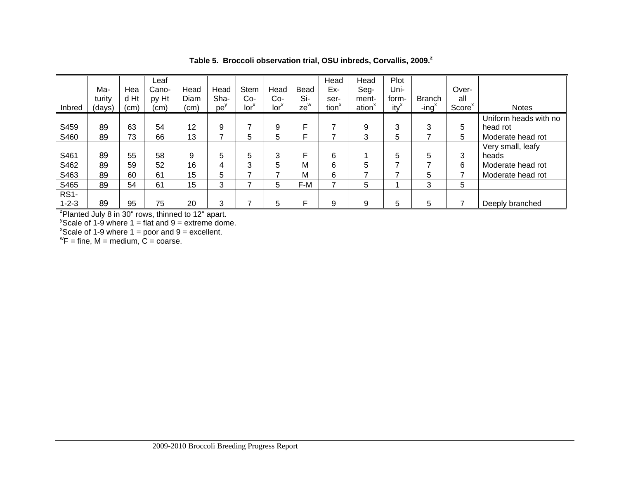|             |        |      | Leaf                                                           |      |          |                  |                  |        | Head              | Head               | Plot    |                   |                    |                       |
|-------------|--------|------|----------------------------------------------------------------|------|----------|------------------|------------------|--------|-------------------|--------------------|---------|-------------------|--------------------|-----------------------|
|             | Ma-    | Hea  | Cano-                                                          | Head | Head     | <b>Stem</b>      | Head             | Bead   | Ex-               | Seg-               | Uni-    |                   | Over-              |                       |
|             | turity | d Ht | py Ht                                                          | Diam | Sha-     | Co-              | Co-              | Si-    | ser-              | ment-              | form-   | <b>Branch</b>     | all                |                       |
| Inbred      | (days) | (cm) | (cm)                                                           | (cm) | $pe^{y}$ | Ior <sup>x</sup> | Ior <sup>x</sup> | $ze^w$ | tion <sup>x</sup> | ation <sup>x</sup> | $ity^x$ | -ing <sup>x</sup> | Score <sup>x</sup> | <b>Notes</b>          |
|             |        |      |                                                                |      |          |                  |                  |        |                   |                    |         |                   |                    |                       |
|             |        |      |                                                                |      |          |                  |                  |        |                   |                    |         |                   |                    | Uniform heads with no |
| S459        | 89     | 63   | 54                                                             | 12   | 9        | ⇁                | 9                | F      |                   | 9                  | 3       | 3                 | 5                  | head rot              |
| S460        | 89     | 73   | 66                                                             | 13   | ⇁        | 5                | 5                | F      |                   | 3                  | 5       |                   | 5                  | Moderate head rot     |
|             |        |      |                                                                |      |          |                  |                  |        |                   |                    |         |                   |                    | Very small, leafy     |
| S461        | 89     | 55   | 58                                                             | 9    | 5        | 5                | 3                | F      | 6                 |                    | 5       | 5                 | 3                  | heads                 |
| S462        | 89     | 59   | 52                                                             | 16   | 4        | 3                | 5                | м      | 6                 | 5                  | ⇁       |                   | 6                  | Moderate head rot     |
| S463        | 89     | 60   | 61                                                             | 15   | 5        | ⇁                |                  | м      | 6                 | 7                  |         | 5                 |                    | Moderate head rot     |
| S465        | 89     | 54   | 61                                                             | 15   | 3        | ⇁                | 5                | F-M    |                   | 5                  |         | 3                 | 5                  |                       |
| <b>RS1-</b> |        |      |                                                                |      |          |                  |                  |        |                   |                    |         |                   |                    |                       |
| $1 - 2 - 3$ | 89     | 95   | 75                                                             | 20   | 3        | ⇁                | 5                | F      | 9                 | 9                  | 5       | 5                 |                    | Deeply branched       |
|             |        |      | <sup>z</sup> Planted July 8 in 30" rows, thinned to 12" apart. |      |          |                  |                  |        |                   |                    |         |                   |                    |                       |

**Table 5. Broccoli observation trial, OSU inbreds, Corvallis, 2009.<sup>z</sup>**

<sup>y</sup>Scale of 1-9 where 1 = flat and 9 = extreme dome.<br><sup>x</sup>Scale of 1-9 where 1 = poor and 9 = excellent.

 ${}^{\rm w}$ F = fine, M = medium, C = coarse.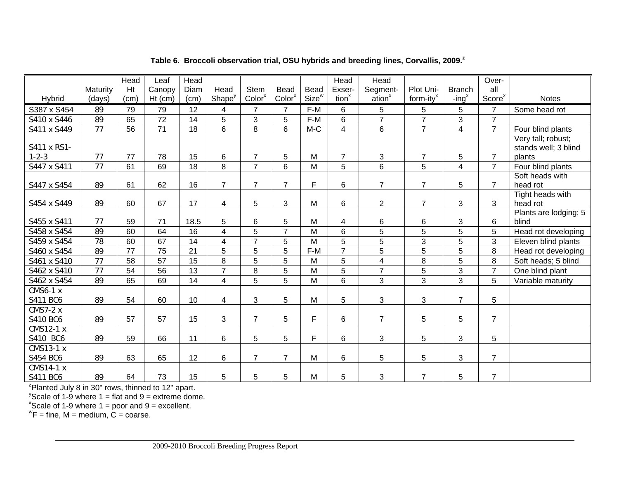|                                                       |          | Head            | Leaf            | Head            |                         |                    |                    |                   | Head              | <b>Head</b>        |                |                         | Over-              |                       |
|-------------------------------------------------------|----------|-----------------|-----------------|-----------------|-------------------------|--------------------|--------------------|-------------------|-------------------|--------------------|----------------|-------------------------|--------------------|-----------------------|
|                                                       | Maturity | Ht              | Canopy          | Diam            | Head                    | <b>Stem</b>        | <b>Bead</b>        | <b>Bead</b>       | Exser-            | Segment-           | Plot Uni-      | <b>Branch</b>           | all                |                       |
| Hybrid                                                | (days)   | (cm)            | $Ht$ (cm)       | (cm)            | Shape <sup>y</sup>      | Color <sup>x</sup> | Color <sup>x</sup> | Size <sup>w</sup> | tion <sup>x</sup> | ation <sup>x</sup> | form-ity $x^x$ | $-$ ing <sup>x</sup>    | Score <sup>x</sup> | <b>Notes</b>          |
| S387 x S454                                           | 89       | 79              | 79              | 12              | 4                       | $\overline{7}$     | $\overline{7}$     | F-M               | 6                 | 5                  | 5              | 5                       | $\overline{7}$     | Some head rot         |
| S410 x S446                                           | 89       | 65              | $\overline{72}$ | 14              | $\overline{5}$          | $\overline{3}$     | $\overline{5}$     | F-M               | 6                 | $\overline{7}$     | $\overline{7}$ | 3                       | $\overline{7}$     |                       |
| S411 x S449                                           | 77       | 56              | 71              | 18              | 6                       | 8                  | 6                  | $M-C$             | $\overline{4}$    | $6\phantom{1}$     | $\overline{7}$ | $\overline{\mathbf{4}}$ | $\overline{7}$     | Four blind plants     |
|                                                       |          |                 |                 |                 |                         |                    |                    |                   |                   |                    |                |                         |                    | Very tall; robust;    |
| S411 x RS1-                                           |          |                 |                 |                 |                         |                    |                    |                   |                   |                    |                |                         |                    | stands well; 3 blind  |
| $1 - 2 - 3$                                           | 77       | 77              | 78              | 15              | 6                       | $\overline{7}$     | 5                  | M                 | $\overline{7}$    | 3                  | $\overline{7}$ | 5                       | $\overline{7}$     | plants                |
| S447 x S411                                           | 77       | 61              | 69              | 18              | 8                       | $\overline{7}$     | 6                  | $\overline{M}$    | 5                 | 6                  | 5              | $\overline{4}$          | $\overline{7}$     | Four blind plants     |
|                                                       |          |                 |                 |                 |                         |                    |                    |                   |                   |                    |                |                         |                    | Soft heads with       |
| S447 x S454                                           | 89       | 61              | 62              | 16              | $\overline{7}$          | $\overline{7}$     | $\overline{7}$     | $\mathsf F$       | 6                 | $\overline{7}$     | $\overline{7}$ | 5                       | $\overline{7}$     | head rot              |
|                                                       |          |                 |                 |                 |                         |                    |                    |                   |                   |                    |                |                         |                    | Tight heads with      |
| S454 x S449                                           | 89       | 60              | 67              | 17              | 4                       | $\overline{5}$     | $\sqrt{3}$         | M                 | 6                 | $\overline{2}$     | $\overline{7}$ | 3                       | 3                  | head rot              |
|                                                       |          |                 |                 |                 |                         |                    |                    |                   |                   |                    |                |                         |                    | Plants are lodging; 5 |
| S455 x S411                                           | 77       | 59              | 71              | 18.5            | 5                       | 6                  | 5                  | M                 | 4                 | 6                  | 6              | 3                       | 6                  | blind                 |
| S458 x S454                                           | 89       | 60              | 64              | 16              | $\overline{\mathbf{4}}$ | $\overline{5}$     | $\overline{7}$     | M                 | $6\phantom{1}$    | $\overline{5}$     | $\overline{5}$ | $\overline{5}$          | 5                  | Head rot developing   |
| S459 x S454                                           | 78       | 60              | 67              | 14              | $\overline{4}$          | $\overline{7}$     | $\overline{5}$     | $\overline{M}$    | $\overline{5}$    | $\overline{5}$     | $\overline{3}$ | $\overline{5}$          | 3                  | Eleven blind plants   |
| S460 x S454                                           | 89       | $\overline{77}$ | $\overline{75}$ | 21              | $\overline{5}$          | $\overline{5}$     | $\overline{5}$     | $F-M$             | $\overline{7}$    | $\overline{5}$     | $\overline{5}$ | 5                       | 8                  | Head rot developing   |
| S461 x S410                                           | 77       | 58              | $\overline{57}$ | $\overline{15}$ | 8                       | $\overline{5}$     | $\overline{5}$     | M                 | 5                 | $\overline{4}$     | 8              | $\overline{5}$          | 8                  | Soft heads; 5 blind   |
| S462 x S410                                           | 77       | 54              | 56              | 13              | $\overline{7}$          | $\,8\,$            | $\overline{5}$     | M                 | 5                 | $\overline{7}$     | $\sqrt{5}$     | 3                       | $\overline{7}$     | One blind plant       |
| S462 x S454                                           | 89       | 65              | 69              | $\overline{14}$ | $\overline{4}$          | $\overline{5}$     | $\overline{5}$     | $\overline{M}$    | $\overline{6}$    | $\overline{3}$     | $\overline{3}$ | $\overline{3}$          | 5                  | Variable maturity     |
| <b>CMS6-1 x</b>                                       |          |                 |                 |                 |                         |                    |                    |                   |                   |                    |                |                         |                    |                       |
| S411 BC6                                              | 89       | 54              | 60              | 10              | $\overline{4}$          | 3                  | 5                  | M                 | 5                 | 3                  | 3              | $\overline{7}$          | $5\phantom{.0}$    |                       |
| <b>CMS7-2 x</b>                                       |          |                 |                 |                 |                         |                    |                    |                   |                   |                    |                |                         |                    |                       |
| S410 BC6                                              | 89       | 57              | 57              | 15              | 3                       | $\overline{7}$     | 5                  | $\mathsf F$       | 6                 | $\overline{7}$     | 5              | 5                       | $\overline{7}$     |                       |
| CMS12-1 x                                             |          |                 |                 |                 |                         |                    |                    |                   |                   |                    |                |                         |                    |                       |
| S410 BC6                                              | 89       | 59              | 66              | 11              | $6\phantom{1}$          | $\overline{5}$     | 5                  | F                 | 6                 | 3                  | 5              | 3                       | $5\phantom{.0}$    |                       |
| CMS13-1 x                                             |          |                 |                 |                 |                         |                    |                    |                   |                   |                    |                |                         |                    |                       |
| S454 BC6                                              | 89       | 63              | 65              | 12              | 6                       | $\overline{7}$     | $\overline{7}$     | M                 | $6\phantom{1}$    | 5                  | 5              | 3                       | $\overline{7}$     |                       |
| <b>CMS14-1 x</b>                                      |          |                 |                 |                 |                         |                    |                    |                   |                   |                    |                |                         |                    |                       |
| S411 BC6                                              | 89       | 64              | 73              | 15              | 5                       | $\overline{5}$     | 5                  | M                 | 5                 | $\mathbf{3}$       | $\overline{7}$ | 5                       | $\overline{7}$     |                       |
| $2$ Planted July 8 in 30" rows, thinned to 12" apart. |          |                 |                 |                 |                         |                    |                    |                   |                   |                    |                |                         |                    |                       |

#### **Table 6. Broccoli observation trial, OSU hybrids and breeding lines, Corvallis, 2009.<sup>z</sup>**

 $\mathrm{y}$ Scale of 1-9 where 1 = flat and 9 = extreme dome.

 $x^2$ Scale of 1-9 where 1 = poor and 9 = excellent.

 ${}^{\rm w}$ F = fine, M = medium, C = coarse.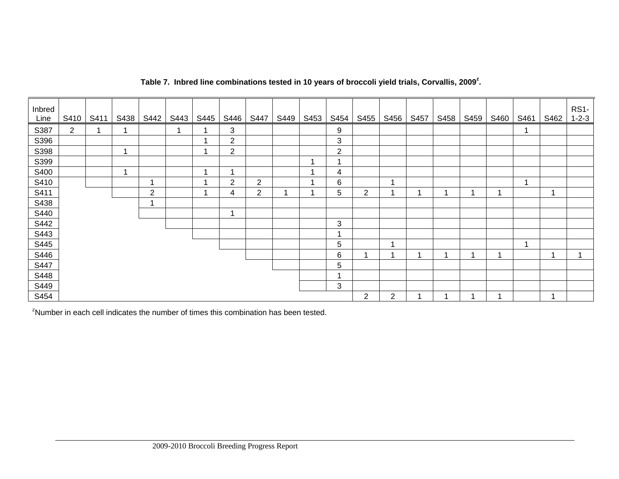| Inbred<br>Line | S410           | S411 | S438                    | S442           | S443 | S445 | S446           | S447           | S449 | S453 | S454                    | S455           | S456           | S457 | S458 | S459 | S460 | S461 | S462 | <b>RS1-</b><br>$1 - 2 - 3$ |
|----------------|----------------|------|-------------------------|----------------|------|------|----------------|----------------|------|------|-------------------------|----------------|----------------|------|------|------|------|------|------|----------------------------|
| S387           | $\overline{2}$ | -4   | ٠                       |                |      |      | 3              |                |      |      | 9                       |                |                |      |      |      |      |      |      |                            |
| S396           |                |      |                         |                |      |      | $\overline{2}$ |                |      |      | 3                       |                |                |      |      |      |      |      |      |                            |
| S398           |                |      | ۰                       |                |      |      | 2              |                |      |      | $\overline{2}$          |                |                |      |      |      |      |      |      |                            |
| S399           |                |      |                         |                |      |      |                |                |      | ٠    | -1                      |                |                |      |      |      |      |      |      |                            |
| S400           |                |      | $\overline{\mathbf{A}}$ |                |      |      |                |                |      |      | 4                       |                |                |      |      |      |      |      |      |                            |
| S410           |                |      |                         |                |      |      | $\overline{2}$ | $\overline{2}$ |      |      | 6                       |                | 1              |      |      |      |      |      |      |                            |
| S411           |                |      |                         | $\overline{2}$ |      |      | 4              | $\overline{2}$ |      |      | 5                       | $\overline{2}$ | 1              |      |      |      |      |      |      |                            |
| S438           |                |      |                         |                |      |      |                |                |      |      |                         |                |                |      |      |      |      |      |      |                            |
| S440           |                |      |                         |                |      |      |                |                |      |      |                         |                |                |      |      |      |      |      |      |                            |
| S442           |                |      |                         |                |      |      |                |                |      |      | 3                       |                |                |      |      |      |      |      |      |                            |
| S443           |                |      |                         |                |      |      |                |                |      |      | $\overline{\mathbf{A}}$ |                |                |      |      |      |      |      |      |                            |
| S445           |                |      |                         |                |      |      |                |                |      |      | 5                       |                | $\mathbf 1$    |      |      |      |      |      |      |                            |
| S446           |                |      |                         |                |      |      |                |                |      |      | 6                       | ٠              | 1              |      |      |      |      |      |      |                            |
| S447           |                |      |                         |                |      |      |                |                |      |      | 5                       |                |                |      |      |      |      |      |      |                            |
| S448           |                |      |                         |                |      |      |                |                |      |      | 4                       |                |                |      |      |      |      |      |      |                            |
| S449           |                |      |                         |                |      |      |                |                |      |      | 3                       |                |                |      |      |      |      |      |      |                            |
| S454           |                |      |                         |                |      |      |                |                |      |      |                         | $\overline{2}$ | $\overline{2}$ |      |      |      |      |      | ۸    |                            |

### **Table 7. Inbred line combinations tested in 10 years of broccoli yield trials, Corvallis, 2009z.**

<sup>2</sup>Number in each cell indicates the number of times this combination has been tested.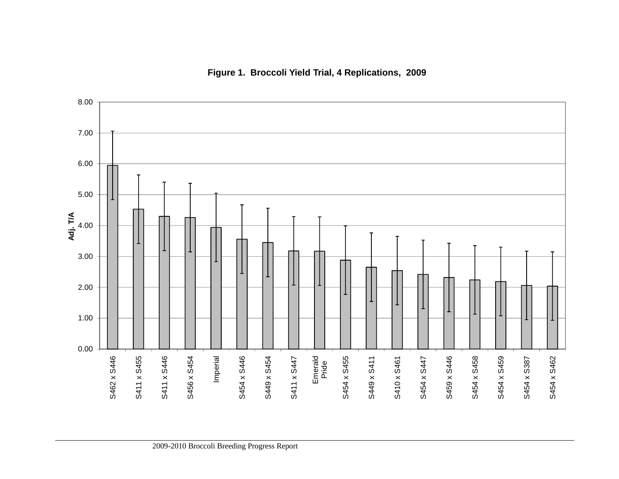

**Figure 1. Broccoli Yield Trial, 4 Replications, 2009**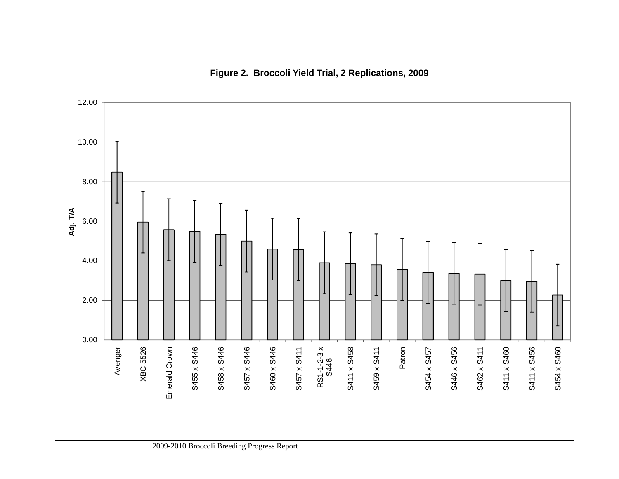

# **Figure 2. Broccoli Yield Trial, 2 Replications, 2009**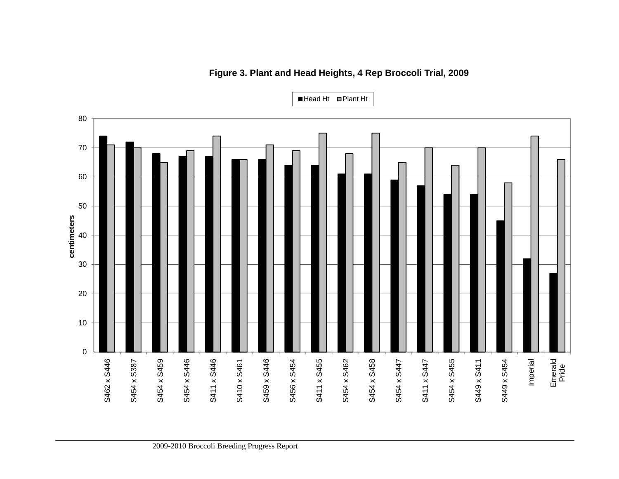

# **Figure 3. Plant and Head Heights, 4 Rep Broccoli Trial, 2009**

Head Ht ■Plant Ht